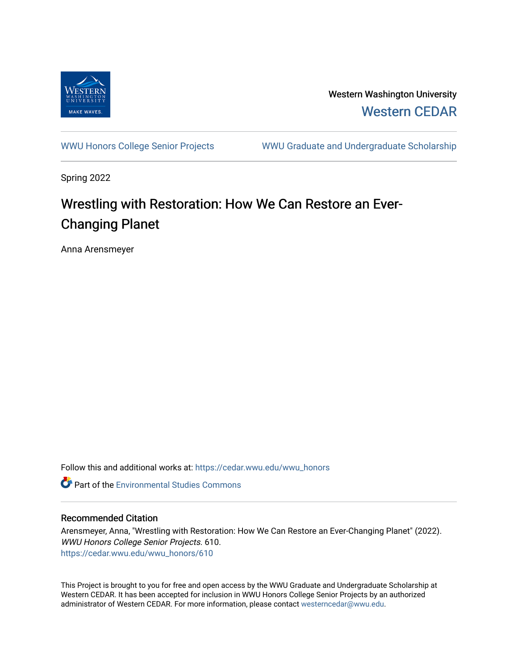

Western Washington University [Western CEDAR](https://cedar.wwu.edu/) 

[WWU Honors College Senior Projects](https://cedar.wwu.edu/wwu_honors) WWU Graduate and Undergraduate Scholarship

Spring 2022

## Wrestling with Restoration: How We Can Restore an Ever-Changing Planet

Anna Arensmeyer

Follow this and additional works at: [https://cedar.wwu.edu/wwu\\_honors](https://cedar.wwu.edu/wwu_honors?utm_source=cedar.wwu.edu%2Fwwu_honors%2F610&utm_medium=PDF&utm_campaign=PDFCoverPages) 

Part of the [Environmental Studies Commons](https://network.bepress.com/hgg/discipline/1333?utm_source=cedar.wwu.edu%2Fwwu_honors%2F610&utm_medium=PDF&utm_campaign=PDFCoverPages)

## Recommended Citation

Arensmeyer, Anna, "Wrestling with Restoration: How We Can Restore an Ever-Changing Planet" (2022). WWU Honors College Senior Projects. 610. [https://cedar.wwu.edu/wwu\\_honors/610](https://cedar.wwu.edu/wwu_honors/610?utm_source=cedar.wwu.edu%2Fwwu_honors%2F610&utm_medium=PDF&utm_campaign=PDFCoverPages)

This Project is brought to you for free and open access by the WWU Graduate and Undergraduate Scholarship at Western CEDAR. It has been accepted for inclusion in WWU Honors College Senior Projects by an authorized administrator of Western CEDAR. For more information, please contact [westerncedar@wwu.edu](mailto:westerncedar@wwu.edu).